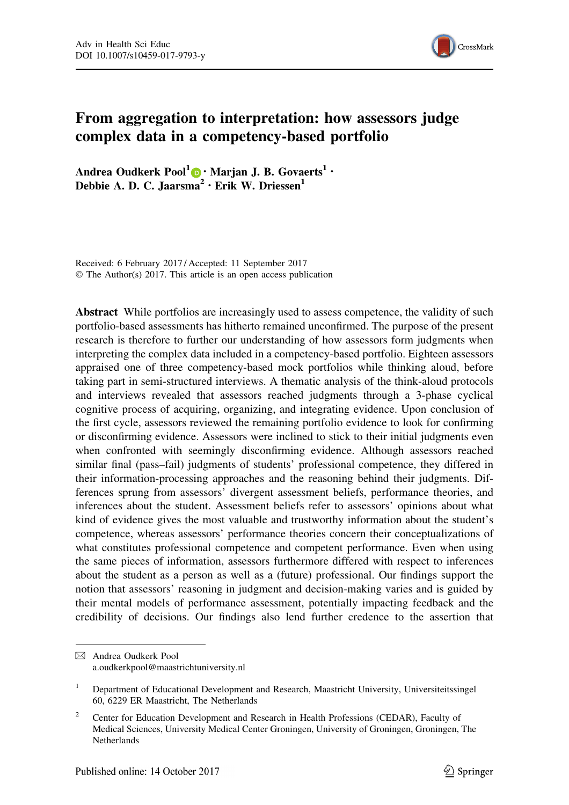

# From aggregation to interpretation: how assessors judge complex data in a competency-based portfolio

Andrea Oudkerk Pool $1 \oplus \cdot$  Marjan J. B. Govaerts<sup>1</sup>  $\cdot$ Debbie A. D. C. Jaarsma<sup>2</sup> · Erik W. Driessen<sup>1</sup>

Received: 6 February 2017 / Accepted: 11 September 2017 © The Author(s) 2017. This article is an open access publication

Abstract While portfolios are increasingly used to assess competence, the validity of such portfolio-based assessments has hitherto remained unconfirmed. The purpose of the present research is therefore to further our understanding of how assessors form judgments when interpreting the complex data included in a competency-based portfolio. Eighteen assessors appraised one of three competency-based mock portfolios while thinking aloud, before taking part in semi-structured interviews. A thematic analysis of the think-aloud protocols and interviews revealed that assessors reached judgments through a 3-phase cyclical cognitive process of acquiring, organizing, and integrating evidence. Upon conclusion of the first cycle, assessors reviewed the remaining portfolio evidence to look for confirming or disconfirming evidence. Assessors were inclined to stick to their initial judgments even when confronted with seemingly disconfirming evidence. Although assessors reached similar final (pass–fail) judgments of students' professional competence, they differed in their information-processing approaches and the reasoning behind their judgments. Differences sprung from assessors' divergent assessment beliefs, performance theories, and inferences about the student. Assessment beliefs refer to assessors' opinions about what kind of evidence gives the most valuable and trustworthy information about the student's competence, whereas assessors' performance theories concern their conceptualizations of what constitutes professional competence and competent performance. Even when using the same pieces of information, assessors furthermore differed with respect to inferences about the student as a person as well as a (future) professional. Our findings support the notion that assessors' reasoning in judgment and decision-making varies and is guided by their mental models of performance assessment, potentially impacting feedback and the credibility of decisions. Our findings also lend further credence to the assertion that

<sup>&</sup>amp; Andrea Oudkerk Pool a.oudkerkpool@maastrichtuniversity.nl

<sup>&</sup>lt;sup>1</sup> Department of Educational Development and Research, Maastricht University, Universiteitssingel 60, 6229 ER Maastricht, The Netherlands

<sup>&</sup>lt;sup>2</sup> Center for Education Development and Research in Health Professions (CEDAR), Faculty of Medical Sciences, University Medical Center Groningen, University of Groningen, Groningen, The **Netherlands**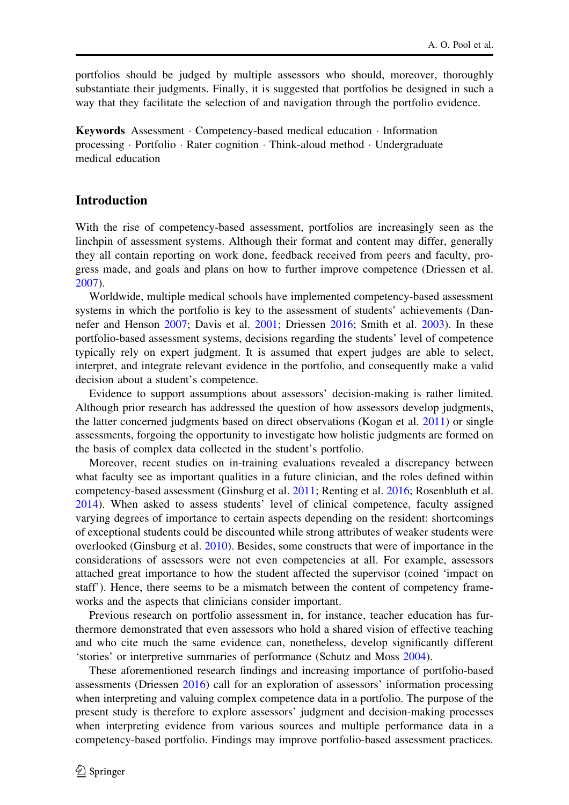portfolios should be judged by multiple assessors who should, moreover, thoroughly substantiate their judgments. Finally, it is suggested that portfolios be designed in such a way that they facilitate the selection of and navigation through the portfolio evidence.

Keywords Assessment · Competency-based medical education · Information processing  $\cdot$  Portfolio  $\cdot$  Rater cognition  $\cdot$  Think-aloud method  $\cdot$  Undergraduate medical education

### Introduction

With the rise of competency-based assessment, portfolios are increasingly seen as the linchpin of assessment systems. Although their format and content may differ, generally they all contain reporting on work done, feedback received from peers and faculty, progress made, and goals and plans on how to further improve competence (Driessen et al. 2007).

Worldwide, multiple medical schools have implemented competency-based assessment systems in which the portfolio is key to the assessment of students' achievements (Dannefer and Henson 2007; Davis et al. 2001; Driessen 2016; Smith et al. 2003). In these portfolio-based assessment systems, decisions regarding the students' level of competence typically rely on expert judgment. It is assumed that expert judges are able to select, interpret, and integrate relevant evidence in the portfolio, and consequently make a valid decision about a student's competence.

Evidence to support assumptions about assessors' decision-making is rather limited. Although prior research has addressed the question of how assessors develop judgments, the latter concerned judgments based on direct observations (Kogan et al. 2011) or single assessments, forgoing the opportunity to investigate how holistic judgments are formed on the basis of complex data collected in the student's portfolio.

Moreover, recent studies on in-training evaluations revealed a discrepancy between what faculty see as important qualities in a future clinician, and the roles defined within competency-based assessment (Ginsburg et al. 2011; Renting et al. 2016; Rosenbluth et al. 2014). When asked to assess students' level of clinical competence, faculty assigned varying degrees of importance to certain aspects depending on the resident: shortcomings of exceptional students could be discounted while strong attributes of weaker students were overlooked (Ginsburg et al. 2010). Besides, some constructs that were of importance in the considerations of assessors were not even competencies at all. For example, assessors attached great importance to how the student affected the supervisor (coined 'impact on staff'). Hence, there seems to be a mismatch between the content of competency frameworks and the aspects that clinicians consider important.

Previous research on portfolio assessment in, for instance, teacher education has furthermore demonstrated that even assessors who hold a shared vision of effective teaching and who cite much the same evidence can, nonetheless, develop significantly different 'stories' or interpretive summaries of performance (Schutz and Moss 2004).

These aforementioned research findings and increasing importance of portfolio-based assessments (Driessen 2016) call for an exploration of assessors' information processing when interpreting and valuing complex competence data in a portfolio. The purpose of the present study is therefore to explore assessors' judgment and decision-making processes when interpreting evidence from various sources and multiple performance data in a competency-based portfolio. Findings may improve portfolio-based assessment practices.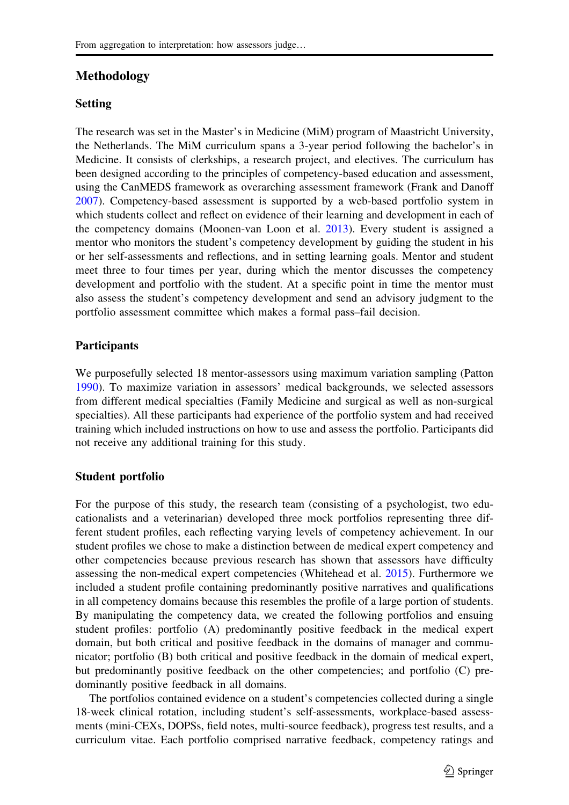# Methodology

### Setting

The research was set in the Master's in Medicine (MiM) program of Maastricht University, the Netherlands. The MiM curriculum spans a 3-year period following the bachelor's in Medicine. It consists of clerkships, a research project, and electives. The curriculum has been designed according to the principles of competency-based education and assessment, using the CanMEDS framework as overarching assessment framework (Frank and Danoff 2007). Competency-based assessment is supported by a web-based portfolio system in which students collect and reflect on evidence of their learning and development in each of the competency domains (Moonen-van Loon et al. 2013). Every student is assigned a mentor who monitors the student's competency development by guiding the student in his or her self-assessments and reflections, and in setting learning goals. Mentor and student meet three to four times per year, during which the mentor discusses the competency development and portfolio with the student. At a specific point in time the mentor must also assess the student's competency development and send an advisory judgment to the portfolio assessment committee which makes a formal pass–fail decision.

## Participants

We purposefully selected 18 mentor-assessors using maximum variation sampling (Patton 1990). To maximize variation in assessors' medical backgrounds, we selected assessors from different medical specialties (Family Medicine and surgical as well as non-surgical specialties). All these participants had experience of the portfolio system and had received training which included instructions on how to use and assess the portfolio. Participants did not receive any additional training for this study.

### Student portfolio

For the purpose of this study, the research team (consisting of a psychologist, two educationalists and a veterinarian) developed three mock portfolios representing three different student profiles, each reflecting varying levels of competency achievement. In our student profiles we chose to make a distinction between de medical expert competency and other competencies because previous research has shown that assessors have difficulty assessing the non-medical expert competencies (Whitehead et al. 2015). Furthermore we included a student profile containing predominantly positive narratives and qualifications in all competency domains because this resembles the profile of a large portion of students. By manipulating the competency data, we created the following portfolios and ensuing student profiles: portfolio (A) predominantly positive feedback in the medical expert domain, but both critical and positive feedback in the domains of manager and communicator; portfolio (B) both critical and positive feedback in the domain of medical expert, but predominantly positive feedback on the other competencies; and portfolio (C) predominantly positive feedback in all domains.

The portfolios contained evidence on a student's competencies collected during a single 18-week clinical rotation, including student's self-assessments, workplace-based assessments (mini-CEXs, DOPSs, field notes, multi-source feedback), progress test results, and a curriculum vitae. Each portfolio comprised narrative feedback, competency ratings and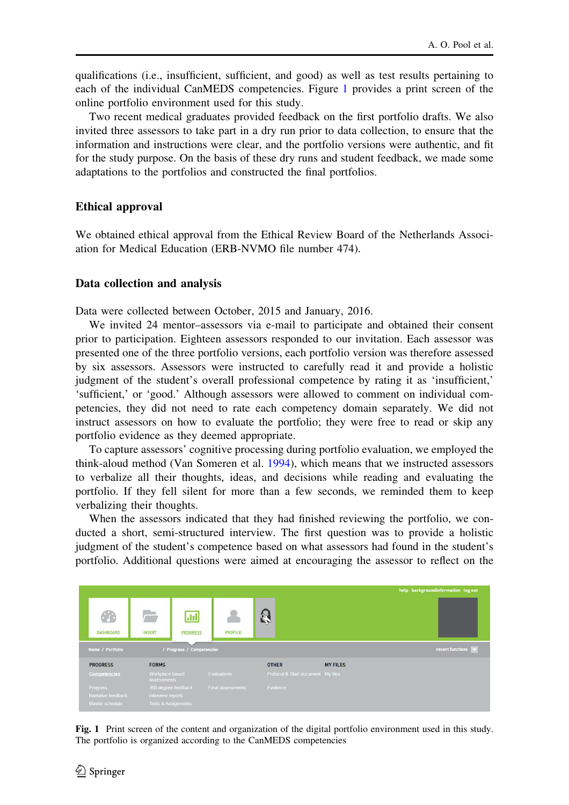qualifications (i.e., insufficient, sufficient, and good) as well as test results pertaining to each of the individual CanMEDS competencies. Figure 1 provides a print screen of the online portfolio environment used for this study.

Two recent medical graduates provided feedback on the first portfolio drafts. We also invited three assessors to take part in a dry run prior to data collection, to ensure that the information and instructions were clear, and the portfolio versions were authentic, and fit for the study purpose. On the basis of these dry runs and student feedback, we made some adaptations to the portfolios and constructed the final portfolios.

#### Ethical approval

We obtained ethical approval from the Ethical Review Board of the Netherlands Association for Medical Education (ERB-NVMO file number 474).

#### Data collection and analysis

Data were collected between October, 2015 and January, 2016.

We invited 24 mentor–assessors via e-mail to participate and obtained their consent prior to participation. Eighteen assessors responded to our invitation. Each assessor was presented one of the three portfolio versions, each portfolio version was therefore assessed by six assessors. Assessors were instructed to carefully read it and provide a holistic judgment of the student's overall professional competence by rating it as 'insufficient,' 'sufficient,' or 'good.' Although assessors were allowed to comment on individual competencies, they did not need to rate each competency domain separately. We did not instruct assessors on how to evaluate the portfolio; they were free to read or skip any portfolio evidence as they deemed appropriate.

To capture assessors' cognitive processing during portfolio evaluation, we employed the think-aloud method (Van Someren et al. 1994), which means that we instructed assessors to verbalize all their thoughts, ideas, and decisions while reading and evaluating the portfolio. If they fell silent for more than a few seconds, we reminded them to keep verbalizing their thoughts.

When the assessors indicated that they had finished reviewing the portfolio, we conducted a short, semi-structured interview. The first question was to provide a holistic judgment of the student's competence based on what assessors had found in the student's portfolio. Additional questions were aimed at encouraging the assessor to reflect on the



Fig. 1 Print screen of the content and organization of the digital portfolio environment used in this study. The portfolio is organized according to the CanMEDS competencies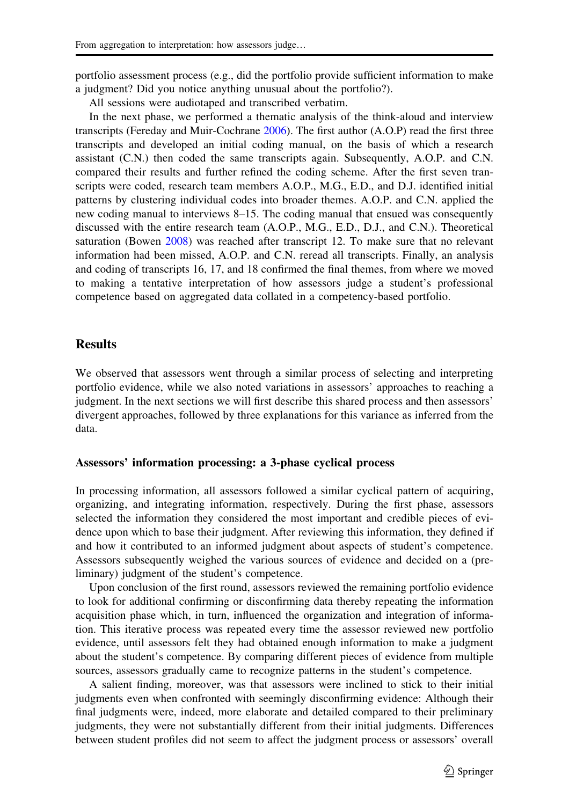portfolio assessment process (e.g., did the portfolio provide sufficient information to make a judgment? Did you notice anything unusual about the portfolio?).

All sessions were audiotaped and transcribed verbatim.

In the next phase, we performed a thematic analysis of the think-aloud and interview transcripts (Fereday and Muir-Cochrane 2006). The first author (A.O.P) read the first three transcripts and developed an initial coding manual, on the basis of which a research assistant (C.N.) then coded the same transcripts again. Subsequently, A.O.P. and C.N. compared their results and further refined the coding scheme. After the first seven transcripts were coded, research team members A.O.P., M.G., E.D., and D.J. identified initial patterns by clustering individual codes into broader themes. A.O.P. and C.N. applied the new coding manual to interviews 8–15. The coding manual that ensued was consequently discussed with the entire research team (A.O.P., M.G., E.D., D.J., and C.N.). Theoretical saturation (Bowen 2008) was reached after transcript 12. To make sure that no relevant information had been missed, A.O.P. and C.N. reread all transcripts. Finally, an analysis and coding of transcripts 16, 17, and 18 confirmed the final themes, from where we moved to making a tentative interpretation of how assessors judge a student's professional competence based on aggregated data collated in a competency-based portfolio.

### Results

We observed that assessors went through a similar process of selecting and interpreting portfolio evidence, while we also noted variations in assessors' approaches to reaching a judgment. In the next sections we will first describe this shared process and then assessors' divergent approaches, followed by three explanations for this variance as inferred from the data.

### Assessors' information processing: a 3-phase cyclical process

In processing information, all assessors followed a similar cyclical pattern of acquiring, organizing, and integrating information, respectively. During the first phase, assessors selected the information they considered the most important and credible pieces of evidence upon which to base their judgment. After reviewing this information, they defined if and how it contributed to an informed judgment about aspects of student's competence. Assessors subsequently weighed the various sources of evidence and decided on a (preliminary) judgment of the student's competence.

Upon conclusion of the first round, assessors reviewed the remaining portfolio evidence to look for additional confirming or disconfirming data thereby repeating the information acquisition phase which, in turn, influenced the organization and integration of information. This iterative process was repeated every time the assessor reviewed new portfolio evidence, until assessors felt they had obtained enough information to make a judgment about the student's competence. By comparing different pieces of evidence from multiple sources, assessors gradually came to recognize patterns in the student's competence.

A salient finding, moreover, was that assessors were inclined to stick to their initial judgments even when confronted with seemingly disconfirming evidence: Although their final judgments were, indeed, more elaborate and detailed compared to their preliminary judgments, they were not substantially different from their initial judgments. Differences between student profiles did not seem to affect the judgment process or assessors' overall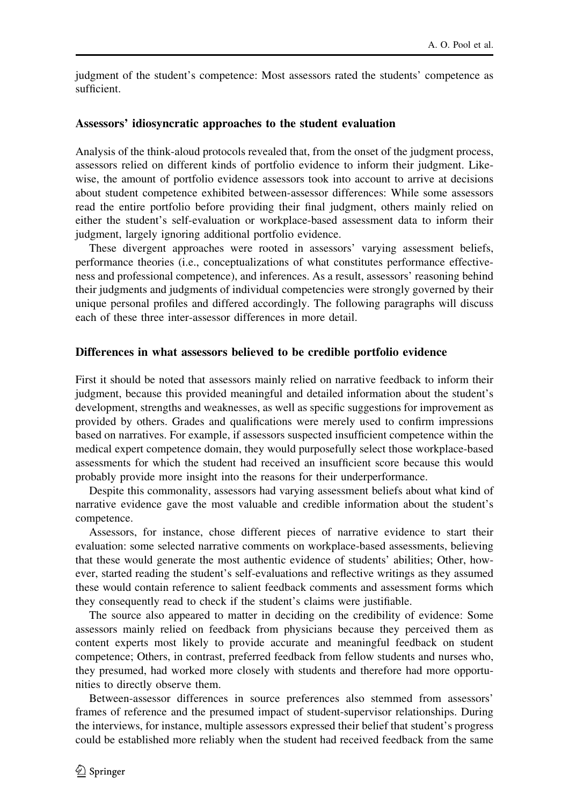judgment of the student's competence: Most assessors rated the students' competence as sufficient.

### Assessors' idiosyncratic approaches to the student evaluation

Analysis of the think-aloud protocols revealed that, from the onset of the judgment process, assessors relied on different kinds of portfolio evidence to inform their judgment. Likewise, the amount of portfolio evidence assessors took into account to arrive at decisions about student competence exhibited between-assessor differences: While some assessors read the entire portfolio before providing their final judgment, others mainly relied on either the student's self-evaluation or workplace-based assessment data to inform their judgment, largely ignoring additional portfolio evidence.

These divergent approaches were rooted in assessors' varying assessment beliefs, performance theories (i.e., conceptualizations of what constitutes performance effectiveness and professional competence), and inferences. As a result, assessors' reasoning behind their judgments and judgments of individual competencies were strongly governed by their unique personal profiles and differed accordingly. The following paragraphs will discuss each of these three inter-assessor differences in more detail.

### Differences in what assessors believed to be credible portfolio evidence

First it should be noted that assessors mainly relied on narrative feedback to inform their judgment, because this provided meaningful and detailed information about the student's development, strengths and weaknesses, as well as specific suggestions for improvement as provided by others. Grades and qualifications were merely used to confirm impressions based on narratives. For example, if assessors suspected insufficient competence within the medical expert competence domain, they would purposefully select those workplace-based assessments for which the student had received an insufficient score because this would probably provide more insight into the reasons for their underperformance.

Despite this commonality, assessors had varying assessment beliefs about what kind of narrative evidence gave the most valuable and credible information about the student's competence.

Assessors, for instance, chose different pieces of narrative evidence to start their evaluation: some selected narrative comments on workplace-based assessments, believing that these would generate the most authentic evidence of students' abilities; Other, however, started reading the student's self-evaluations and reflective writings as they assumed these would contain reference to salient feedback comments and assessment forms which they consequently read to check if the student's claims were justifiable.

The source also appeared to matter in deciding on the credibility of evidence: Some assessors mainly relied on feedback from physicians because they perceived them as content experts most likely to provide accurate and meaningful feedback on student competence; Others, in contrast, preferred feedback from fellow students and nurses who, they presumed, had worked more closely with students and therefore had more opportunities to directly observe them.

Between-assessor differences in source preferences also stemmed from assessors' frames of reference and the presumed impact of student-supervisor relationships. During the interviews, for instance, multiple assessors expressed their belief that student's progress could be established more reliably when the student had received feedback from the same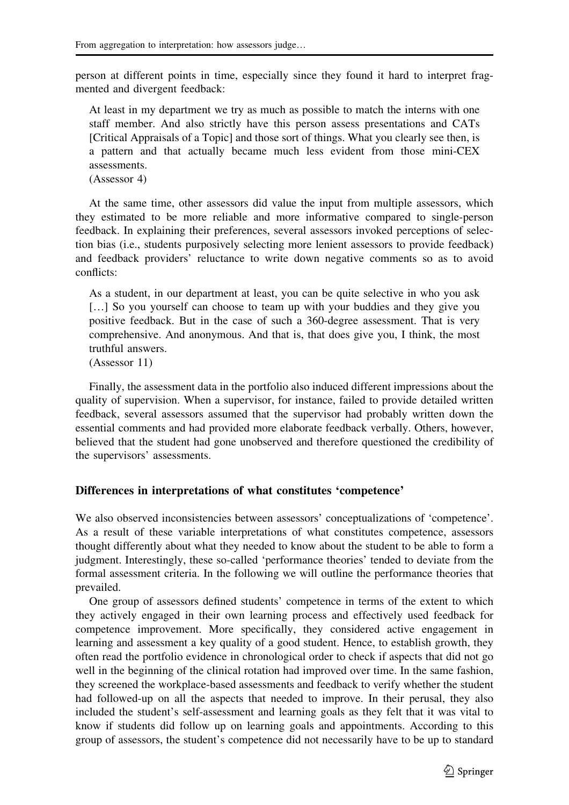person at different points in time, especially since they found it hard to interpret fragmented and divergent feedback:

At least in my department we try as much as possible to match the interns with one staff member. And also strictly have this person assess presentations and CATs [Critical Appraisals of a Topic] and those sort of things. What you clearly see then, is a pattern and that actually became much less evident from those mini-CEX assessments.

(Assessor 4)

At the same time, other assessors did value the input from multiple assessors, which they estimated to be more reliable and more informative compared to single-person feedback. In explaining their preferences, several assessors invoked perceptions of selection bias (i.e., students purposively selecting more lenient assessors to provide feedback) and feedback providers' reluctance to write down negative comments so as to avoid conflicts:

As a student, in our department at least, you can be quite selective in who you ask [...] So you yourself can choose to team up with your buddies and they give you positive feedback. But in the case of such a 360-degree assessment. That is very comprehensive. And anonymous. And that is, that does give you, I think, the most truthful answers.

(Assessor 11)

Finally, the assessment data in the portfolio also induced different impressions about the quality of supervision. When a supervisor, for instance, failed to provide detailed written feedback, several assessors assumed that the supervisor had probably written down the essential comments and had provided more elaborate feedback verbally. Others, however, believed that the student had gone unobserved and therefore questioned the credibility of the supervisors' assessments.

### Differences in interpretations of what constitutes 'competence'

We also observed inconsistencies between assessors' conceptualizations of 'competence'. As a result of these variable interpretations of what constitutes competence, assessors thought differently about what they needed to know about the student to be able to form a judgment. Interestingly, these so-called 'performance theories' tended to deviate from the formal assessment criteria. In the following we will outline the performance theories that prevailed.

One group of assessors defined students' competence in terms of the extent to which they actively engaged in their own learning process and effectively used feedback for competence improvement. More specifically, they considered active engagement in learning and assessment a key quality of a good student. Hence, to establish growth, they often read the portfolio evidence in chronological order to check if aspects that did not go well in the beginning of the clinical rotation had improved over time. In the same fashion, they screened the workplace-based assessments and feedback to verify whether the student had followed-up on all the aspects that needed to improve. In their perusal, they also included the student's self-assessment and learning goals as they felt that it was vital to know if students did follow up on learning goals and appointments. According to this group of assessors, the student's competence did not necessarily have to be up to standard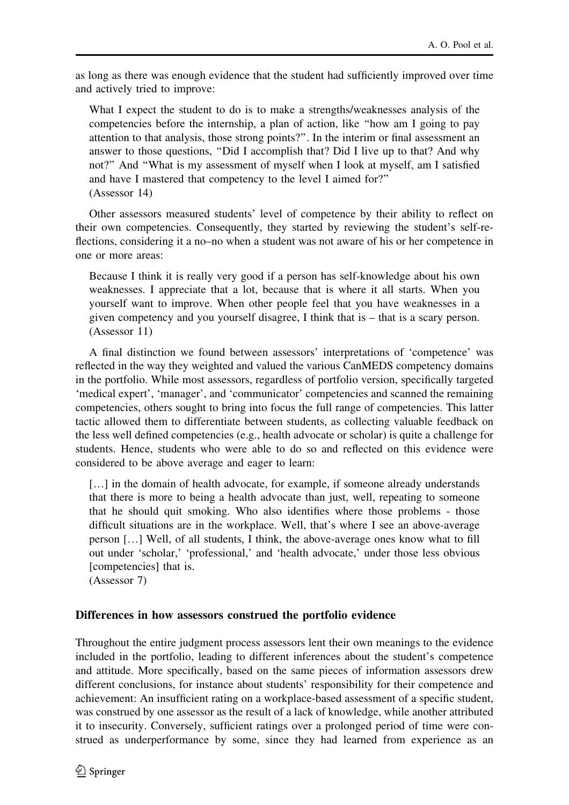as long as there was enough evidence that the student had sufficiently improved over time and actively tried to improve:

What I expect the student to do is to make a strengths/weaknesses analysis of the competencies before the internship, a plan of action, like ''how am I going to pay attention to that analysis, those strong points?''. In the interim or final assessment an answer to those questions, ''Did I accomplish that? Did I live up to that? And why not?'' And ''What is my assessment of myself when I look at myself, am I satisfied and have I mastered that competency to the level I aimed for?'' (Assessor 14)

Other assessors measured students' level of competence by their ability to reflect on their own competencies. Consequently, they started by reviewing the student's self-reflections, considering it a no–no when a student was not aware of his or her competence in one or more areas:

Because I think it is really very good if a person has self-knowledge about his own weaknesses. I appreciate that a lot, because that is where it all starts. When you yourself want to improve. When other people feel that you have weaknesses in a given competency and you yourself disagree, I think that is – that is a scary person. (Assessor 11)

A final distinction we found between assessors' interpretations of 'competence' was reflected in the way they weighted and valued the various CanMEDS competency domains in the portfolio. While most assessors, regardless of portfolio version, specifically targeted 'medical expert', 'manager', and 'communicator' competencies and scanned the remaining competencies, others sought to bring into focus the full range of competencies. This latter tactic allowed them to differentiate between students, as collecting valuable feedback on the less well defined competencies (e.g., health advocate or scholar) is quite a challenge for students. Hence, students who were able to do so and reflected on this evidence were considered to be above average and eager to learn:

[...] in the domain of health advocate, for example, if someone already understands that there is more to being a health advocate than just, well, repeating to someone that he should quit smoking. Who also identifies where those problems - those difficult situations are in the workplace. Well, that's where I see an above-average person […] Well, of all students, I think, the above-average ones know what to fill out under 'scholar,' 'professional,' and 'health advocate,' under those less obvious [competencies] that is.

(Assessor 7)

## Differences in how assessors construed the portfolio evidence

Throughout the entire judgment process assessors lent their own meanings to the evidence included in the portfolio, leading to different inferences about the student's competence and attitude. More specifically, based on the same pieces of information assessors drew different conclusions, for instance about students' responsibility for their competence and achievement: An insufficient rating on a workplace-based assessment of a specific student, was construed by one assessor as the result of a lack of knowledge, while another attributed it to insecurity. Conversely, sufficient ratings over a prolonged period of time were construed as underperformance by some, since they had learned from experience as an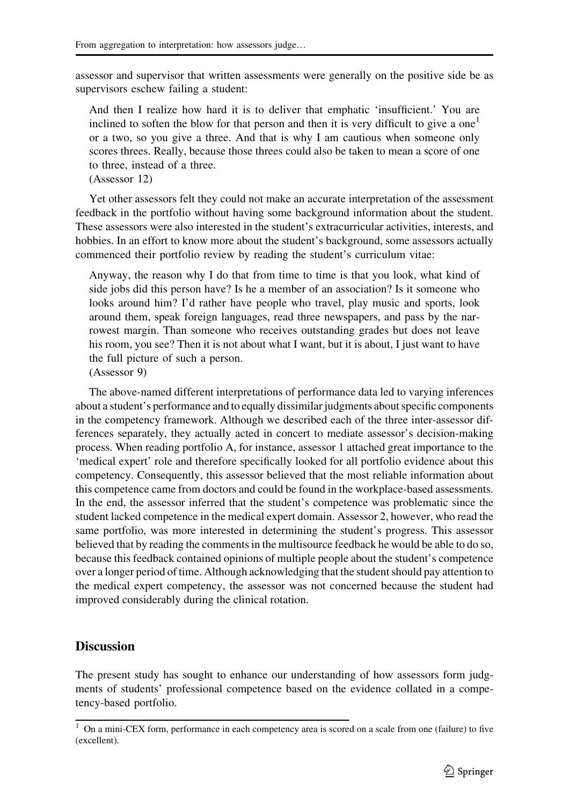assessor and supervisor that written assessments were generally on the positive side be as supervisors eschew failing a student:

And then I realize how hard it is to deliver that emphatic 'insufficient.' You are inclined to soften the blow for that person and then it is very difficult to give a one<sup>1</sup> or a two, so you give a three. And that is why I am cautious when someone only scores threes. Really, because those threes could also be taken to mean a score of one to three, instead of a three.

(Assessor 12)

Yet other assessors felt they could not make an accurate interpretation of the assessment feedback in the portfolio without having some background information about the student. These assessors were also interested in the student's extracurricular activities, interests, and hobbies. In an effort to know more about the student's background, some assessors actually commenced their portfolio review by reading the student's curriculum vitae:

Anyway, the reason why I do that from time to time is that you look, what kind of side jobs did this person have? Is he a member of an association? Is it someone who looks around him? I'd rather have people who travel, play music and sports, look around them, speak foreign languages, read three newspapers, and pass by the narrowest margin. Than someone who receives outstanding grades but does not leave his room, you see? Then it is not about what I want, but it is about, I just want to have the full picture of such a person.

(Assessor 9)

The above-named different interpretations of performance data led to varying inferences about a student's performance and to equally dissimilar judgments about specific components in the competency framework. Although we described each of the three inter-assessor differences separately, they actually acted in concert to mediate assessor's decision-making process. When reading portfolio A, for instance, assessor 1 attached great importance to the 'medical expert' role and therefore specifically looked for all portfolio evidence about this competency. Consequently, this assessor believed that the most reliable information about this competence came from doctors and could be found in the workplace-based assessments. In the end, the assessor inferred that the student's competence was problematic since the student lacked competence in the medical expert domain. Assessor 2, however, who read the same portfolio, was more interested in determining the student's progress. This assessor believed that by reading the comments in the multisource feedback he would be able to do so, because this feedback contained opinions of multiple people about the student's competence over a longer period of time. Although acknowledging that the student should pay attention to the medical expert competency, the assessor was not concerned because the student had improved considerably during the clinical rotation.

## **Discussion**

The present study has sought to enhance our understanding of how assessors form judgments of students' professional competence based on the evidence collated in a competency-based portfolio.

<sup>&</sup>lt;sup>1</sup> On a mini-CEX form, performance in each competency area is scored on a scale from one (failure) to five (excellent).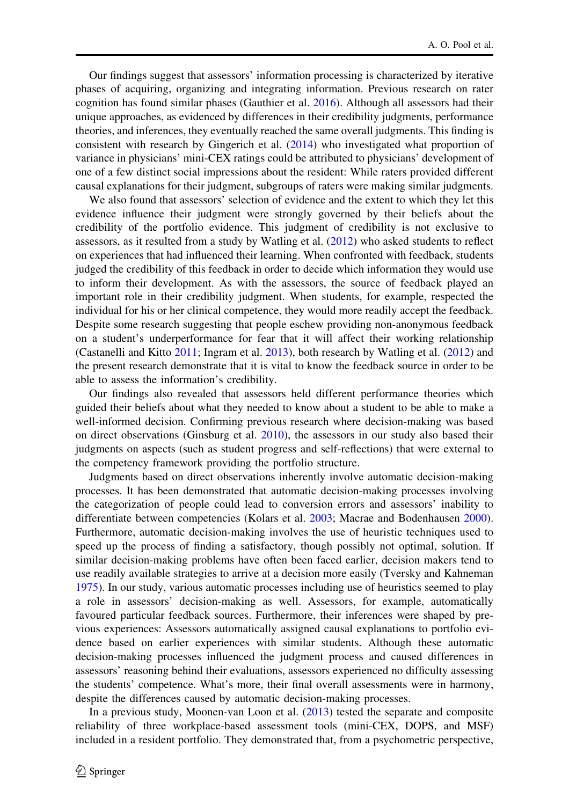Our findings suggest that assessors' information processing is characterized by iterative phases of acquiring, organizing and integrating information. Previous research on rater cognition has found similar phases (Gauthier et al. 2016). Although all assessors had their unique approaches, as evidenced by differences in their credibility judgments, performance theories, and inferences, they eventually reached the same overall judgments. This finding is consistent with research by Gingerich et al. (2014) who investigated what proportion of variance in physicians' mini-CEX ratings could be attributed to physicians' development of one of a few distinct social impressions about the resident: While raters provided different causal explanations for their judgment, subgroups of raters were making similar judgments.

We also found that assessors' selection of evidence and the extent to which they let this evidence influence their judgment were strongly governed by their beliefs about the credibility of the portfolio evidence. This judgment of credibility is not exclusive to assessors, as it resulted from a study by Watling et al. (2012) who asked students to reflect on experiences that had influenced their learning. When confronted with feedback, students judged the credibility of this feedback in order to decide which information they would use to inform their development. As with the assessors, the source of feedback played an important role in their credibility judgment. When students, for example, respected the individual for his or her clinical competence, they would more readily accept the feedback. Despite some research suggesting that people eschew providing non-anonymous feedback on a student's underperformance for fear that it will affect their working relationship (Castanelli and Kitto 2011; Ingram et al. 2013), both research by Watling et al. (2012) and the present research demonstrate that it is vital to know the feedback source in order to be able to assess the information's credibility.

Our findings also revealed that assessors held different performance theories which guided their beliefs about what they needed to know about a student to be able to make a well-informed decision. Confirming previous research where decision-making was based on direct observations (Ginsburg et al. 2010), the assessors in our study also based their judgments on aspects (such as student progress and self-reflections) that were external to the competency framework providing the portfolio structure.

Judgments based on direct observations inherently involve automatic decision-making processes. It has been demonstrated that automatic decision-making processes involving the categorization of people could lead to conversion errors and assessors' inability to differentiate between competencies (Kolars et al. 2003; Macrae and Bodenhausen 2000). Furthermore, automatic decision-making involves the use of heuristic techniques used to speed up the process of finding a satisfactory, though possibly not optimal, solution. If similar decision-making problems have often been faced earlier, decision makers tend to use readily available strategies to arrive at a decision more easily (Tversky and Kahneman 1975). In our study, various automatic processes including use of heuristics seemed to play a role in assessors' decision-making as well. Assessors, for example, automatically favoured particular feedback sources. Furthermore, their inferences were shaped by previous experiences: Assessors automatically assigned causal explanations to portfolio evidence based on earlier experiences with similar students. Although these automatic decision-making processes influenced the judgment process and caused differences in assessors' reasoning behind their evaluations, assessors experienced no difficulty assessing the students' competence. What's more, their final overall assessments were in harmony, despite the differences caused by automatic decision-making processes.

In a previous study, Moonen-van Loon et al. (2013) tested the separate and composite reliability of three workplace-based assessment tools (mini-CEX, DOPS, and MSF) included in a resident portfolio. They demonstrated that, from a psychometric perspective,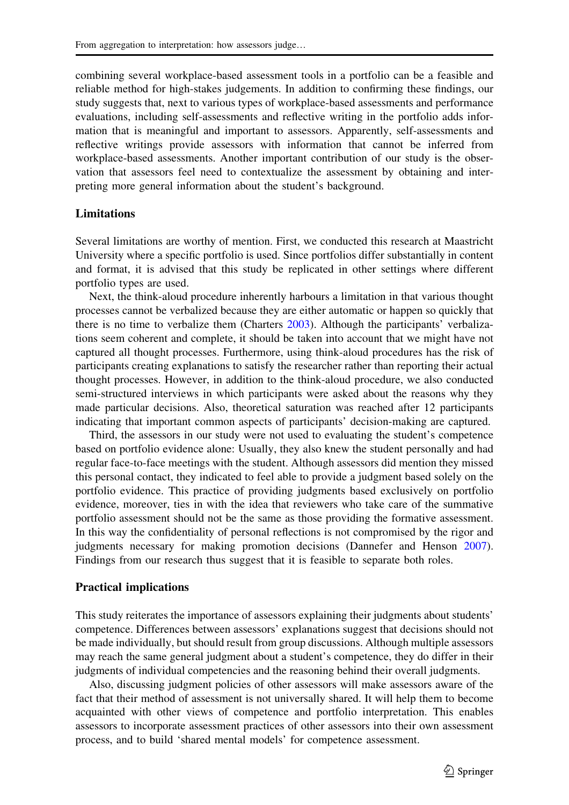combining several workplace-based assessment tools in a portfolio can be a feasible and reliable method for high-stakes judgements. In addition to confirming these findings, our study suggests that, next to various types of workplace-based assessments and performance evaluations, including self-assessments and reflective writing in the portfolio adds information that is meaningful and important to assessors. Apparently, self-assessments and reflective writings provide assessors with information that cannot be inferred from workplace-based assessments. Another important contribution of our study is the observation that assessors feel need to contextualize the assessment by obtaining and interpreting more general information about the student's background.

#### **Limitations**

Several limitations are worthy of mention. First, we conducted this research at Maastricht University where a specific portfolio is used. Since portfolios differ substantially in content and format, it is advised that this study be replicated in other settings where different portfolio types are used.

Next, the think-aloud procedure inherently harbours a limitation in that various thought processes cannot be verbalized because they are either automatic or happen so quickly that there is no time to verbalize them (Charters 2003). Although the participants' verbalizations seem coherent and complete, it should be taken into account that we might have not captured all thought processes. Furthermore, using think-aloud procedures has the risk of participants creating explanations to satisfy the researcher rather than reporting their actual thought processes. However, in addition to the think-aloud procedure, we also conducted semi-structured interviews in which participants were asked about the reasons why they made particular decisions. Also, theoretical saturation was reached after 12 participants indicating that important common aspects of participants' decision-making are captured.

Third, the assessors in our study were not used to evaluating the student's competence based on portfolio evidence alone: Usually, they also knew the student personally and had regular face-to-face meetings with the student. Although assessors did mention they missed this personal contact, they indicated to feel able to provide a judgment based solely on the portfolio evidence. This practice of providing judgments based exclusively on portfolio evidence, moreover, ties in with the idea that reviewers who take care of the summative portfolio assessment should not be the same as those providing the formative assessment. In this way the confidentiality of personal reflections is not compromised by the rigor and judgments necessary for making promotion decisions (Dannefer and Henson 2007). Findings from our research thus suggest that it is feasible to separate both roles.

#### Practical implications

This study reiterates the importance of assessors explaining their judgments about students' competence. Differences between assessors' explanations suggest that decisions should not be made individually, but should result from group discussions. Although multiple assessors may reach the same general judgment about a student's competence, they do differ in their judgments of individual competencies and the reasoning behind their overall judgments.

Also, discussing judgment policies of other assessors will make assessors aware of the fact that their method of assessment is not universally shared. It will help them to become acquainted with other views of competence and portfolio interpretation. This enables assessors to incorporate assessment practices of other assessors into their own assessment process, and to build 'shared mental models' for competence assessment.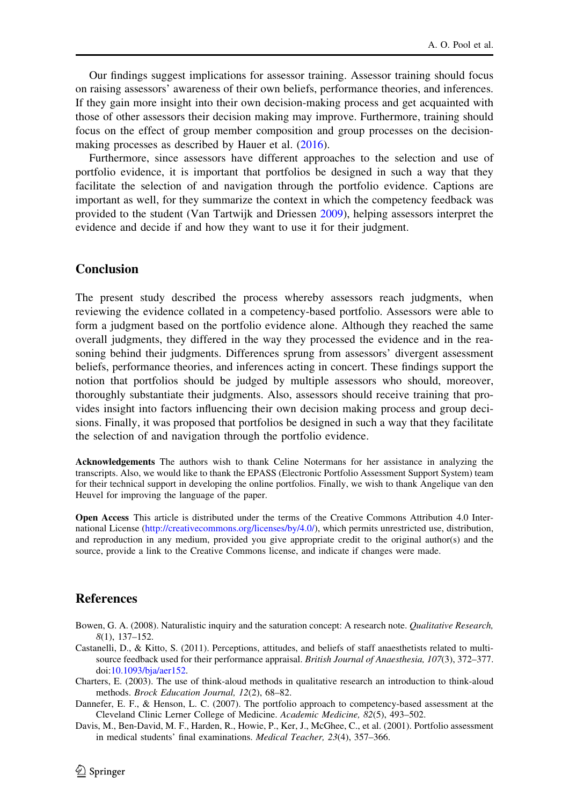Our findings suggest implications for assessor training. Assessor training should focus on raising assessors' awareness of their own beliefs, performance theories, and inferences. If they gain more insight into their own decision-making process and get acquainted with those of other assessors their decision making may improve. Furthermore, training should focus on the effect of group member composition and group processes on the decisionmaking processes as described by Hauer et al. (2016).

Furthermore, since assessors have different approaches to the selection and use of portfolio evidence, it is important that portfolios be designed in such a way that they facilitate the selection of and navigation through the portfolio evidence. Captions are important as well, for they summarize the context in which the competency feedback was provided to the student (Van Tartwijk and Driessen 2009), helping assessors interpret the evidence and decide if and how they want to use it for their judgment.

## Conclusion

The present study described the process whereby assessors reach judgments, when reviewing the evidence collated in a competency-based portfolio. Assessors were able to form a judgment based on the portfolio evidence alone. Although they reached the same overall judgments, they differed in the way they processed the evidence and in the reasoning behind their judgments. Differences sprung from assessors' divergent assessment beliefs, performance theories, and inferences acting in concert. These findings support the notion that portfolios should be judged by multiple assessors who should, moreover, thoroughly substantiate their judgments. Also, assessors should receive training that provides insight into factors influencing their own decision making process and group decisions. Finally, it was proposed that portfolios be designed in such a way that they facilitate the selection of and navigation through the portfolio evidence.

Acknowledgements The authors wish to thank Celine Notermans for her assistance in analyzing the transcripts. Also, we would like to thank the EPASS (Electronic Portfolio Assessment Support System) team for their technical support in developing the online portfolios. Finally, we wish to thank Angelique van den Heuvel for improving the language of the paper.

Open Access This article is distributed under the terms of the Creative Commons Attribution 4.0 International License (http://creativecommons.org/licenses/by/4.0/), which permits unrestricted use, distribution, and reproduction in any medium, provided you give appropriate credit to the original author(s) and the source, provide a link to the Creative Commons license, and indicate if changes were made.

### References

- Bowen, G. A. (2008). Naturalistic inquiry and the saturation concept: A research note. Qualitative Research, 8(1), 137–152.
- Castanelli, D., & Kitto, S. (2011). Perceptions, attitudes, and beliefs of staff anaesthetists related to multisource feedback used for their performance appraisal. British Journal of Anaesthesia, 107(3), 372–377. doi:10.1093/bja/aer152.
- Charters, E. (2003). The use of think-aloud methods in qualitative research an introduction to think-aloud methods. Brock Education Journal, 12(2), 68–82.
- Dannefer, E. F., & Henson, L. C. (2007). The portfolio approach to competency-based assessment at the Cleveland Clinic Lerner College of Medicine. Academic Medicine, 82(5), 493–502.
- Davis, M., Ben-David, M. F., Harden, R., Howie, P., Ker, J., McGhee, C., et al. (2001). Portfolio assessment in medical students' final examinations. Medical Teacher, 23(4), 357–366.